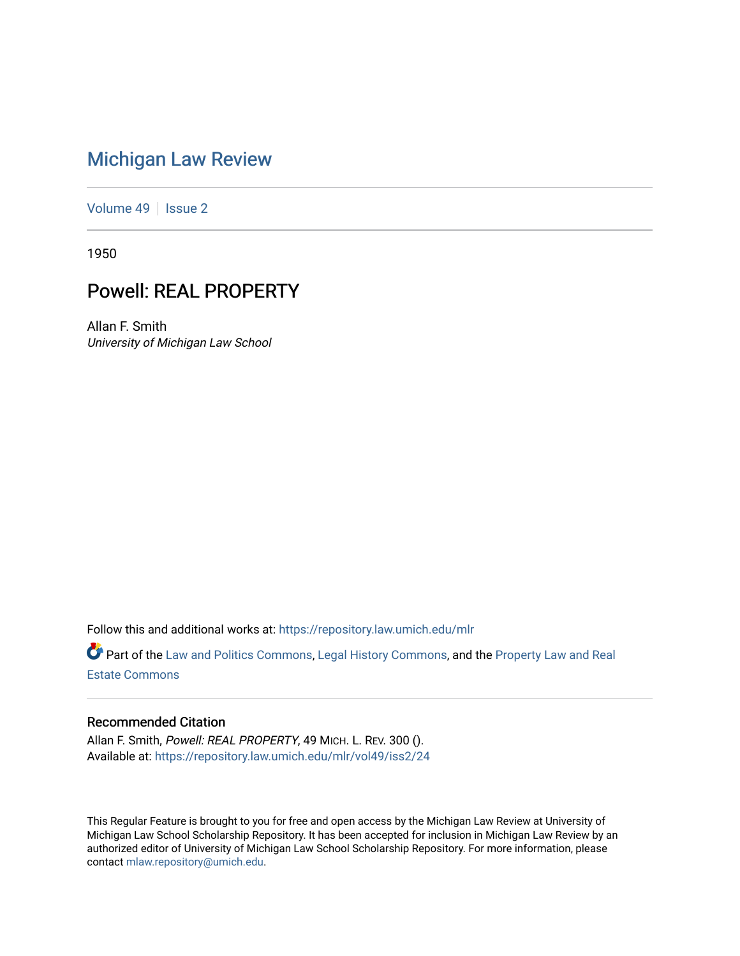# [Michigan Law Review](https://repository.law.umich.edu/mlr)

[Volume 49](https://repository.law.umich.edu/mlr/vol49) | [Issue 2](https://repository.law.umich.edu/mlr/vol49/iss2)

1950

## Powell: REAL PROPERTY

Allan F. Smith University of Michigan Law School

Follow this and additional works at: [https://repository.law.umich.edu/mlr](https://repository.law.umich.edu/mlr?utm_source=repository.law.umich.edu%2Fmlr%2Fvol49%2Fiss2%2F24&utm_medium=PDF&utm_campaign=PDFCoverPages) 

Part of the [Law and Politics Commons,](http://network.bepress.com/hgg/discipline/867?utm_source=repository.law.umich.edu%2Fmlr%2Fvol49%2Fiss2%2F24&utm_medium=PDF&utm_campaign=PDFCoverPages) [Legal History Commons](http://network.bepress.com/hgg/discipline/904?utm_source=repository.law.umich.edu%2Fmlr%2Fvol49%2Fiss2%2F24&utm_medium=PDF&utm_campaign=PDFCoverPages), and the Property Law and Real [Estate Commons](http://network.bepress.com/hgg/discipline/897?utm_source=repository.law.umich.edu%2Fmlr%2Fvol49%2Fiss2%2F24&utm_medium=PDF&utm_campaign=PDFCoverPages) 

### Recommended Citation

Allan F. Smith, Powell: REAL PROPERTY, 49 MICH. L. REV. 300 (). Available at: [https://repository.law.umich.edu/mlr/vol49/iss2/24](https://repository.law.umich.edu/mlr/vol49/iss2/24?utm_source=repository.law.umich.edu%2Fmlr%2Fvol49%2Fiss2%2F24&utm_medium=PDF&utm_campaign=PDFCoverPages) 

This Regular Feature is brought to you for free and open access by the Michigan Law Review at University of Michigan Law School Scholarship Repository. It has been accepted for inclusion in Michigan Law Review by an authorized editor of University of Michigan Law School Scholarship Repository. For more information, please contact [mlaw.repository@umich.edu](mailto:mlaw.repository@umich.edu).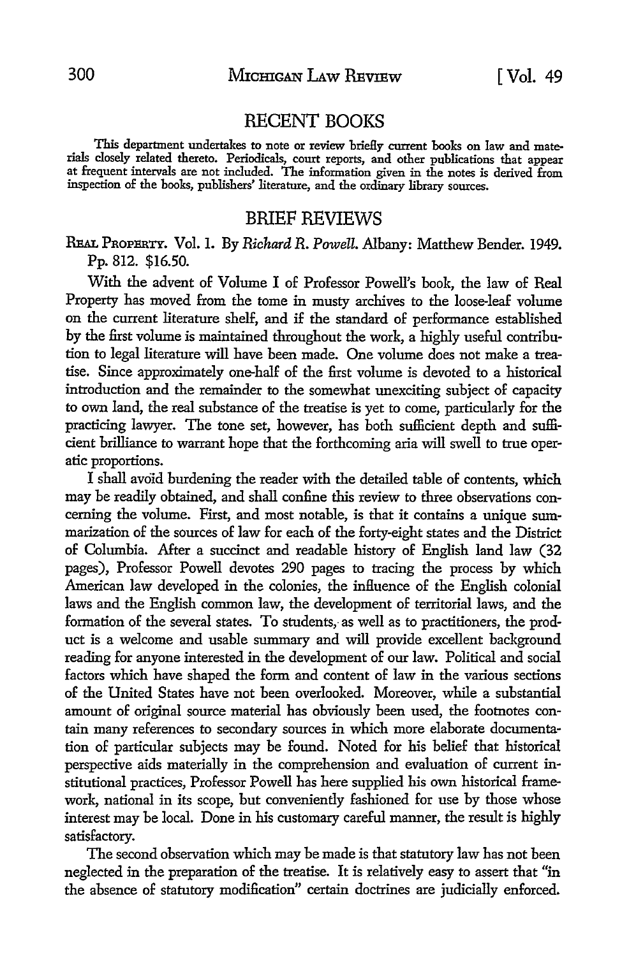#### RECENT BOOKS

This department undertakes to note or review briefly current books on law and materials closely related thereto. Periodicals, court reports, and other publications that appear at frequent intervals are not included. The information given in the notes is derived from inspection of the books, publishers' literature, and the ordinary library sources.

#### BRIEF REVIEWS

REAL PROPERTY. Vol. I. By *Richard R. Powell.* Albany: Matthew Bender. 1949. Pp. 812. \$16.50.

With the advent of Volume I of Professor Powell's book, the law of Real Property has moved from the tome in musty archives to the loose-leaf volume on the current literature shelf, and if the standard of performance established by the first volume is maintained throughout the work, a highly useful contribution to legal literature will have been made. One volume does not make a treatise. Since approximately one-half of the first volume is devoted to a historical introduction and the remainder to the somewhat unexciting subject of capacity to own land, the real substance of the treatise is yet to come, particularly for the practicing lawyer. The tone set, however, has both sufficient depth and sufficient brilliance to warrant hope that the forthcoming aria will swell to true operatic proportions.

I shall avoid burdening the reader with the detailed table of contents, which may be readily obtained, and shall confine this review to three observations concerning the volume. First, and most notable, is that it contains a unique summarization of the sources of law for each of the forty-eight states and the District of Columbia. After a succinct and readable history of English land law (32 pages), Professor Powell devotes 290 pages to tracing the process by which American law developed in the colonies, the inHuence of the English colonial laws and the English common law, the development of territorial laws, and the formation of the several states. To students, as well as to practitioners, the product is a welcome and usable summary and will provide excellent background reading for anyone interested in the development of our law. Political and social factors which have shaped the form and content of law in the various sections of the United States have not been overlooked. Moreover, while a substantial amount of original source material has obviously been used, the footnotes contain many references to secondary sources in which more elaborate documentation of particular subjects may be found. Noted for his belief that historical perspective aids materially in the comprehension and evaluation of current institutional practices, Professor Powell has here supplied his own historical framework, national in its scope, but conveniently fashioned for use by those whose interest may be local. Done in his customary careful manner, the result is highly satisfactory.

The second observation which may be made is that statutory law has not been neglected in the preparation of the treatise. It is relatively easy to assert that "in the absence of statutory modification" certain doctrines are judicially enforced.